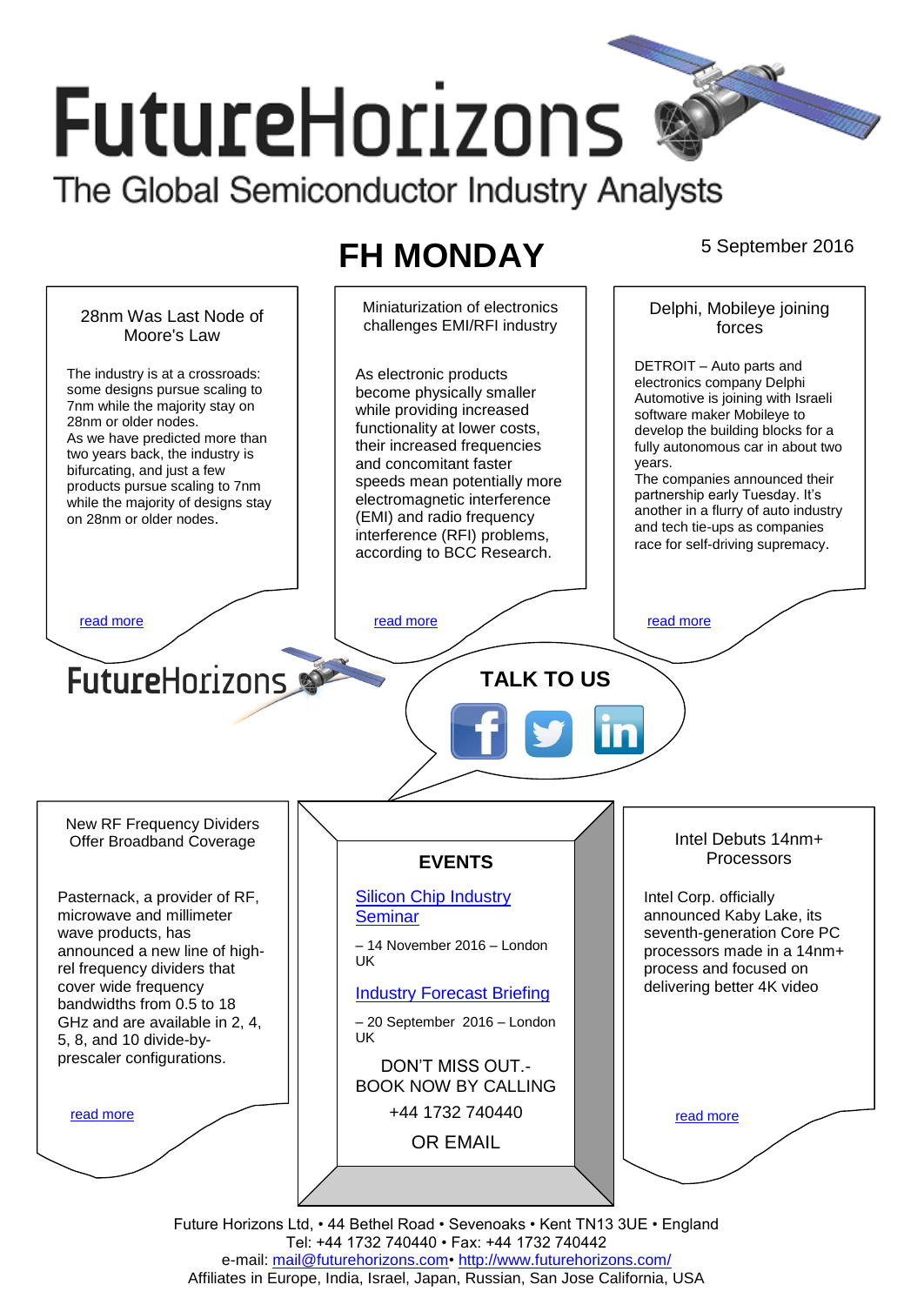# **FutureHorizons** The Global Semiconductor Industry Analysts

# **FH MONDAY** 5 September 2016



Future Horizons Ltd, • 44 Bethel Road • Sevenoaks • Kent TN13 3UE • England Tel: +44 1732 740440 • Fax: +44 1732 740442 e-mail: mail@futurehorizons.com• http://www.futurehorizons.com/ Affiliates in Europe, India, Israel, Japan, Russian, San Jose California, USA